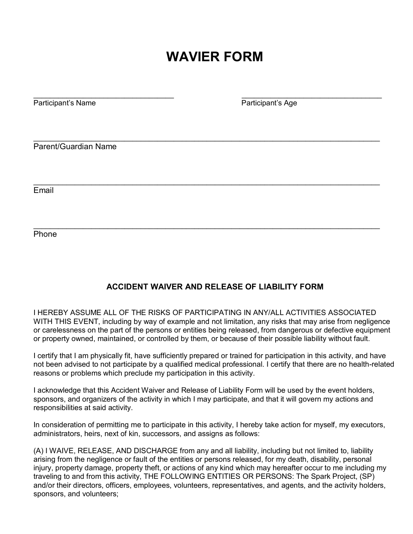## **WAVIER FORM**

\_\_\_\_\_\_\_\_\_\_\_\_\_\_\_\_\_\_\_\_\_\_\_\_\_\_\_\_\_\_\_\_\_\_ \_\_\_\_\_\_\_\_\_\_\_\_\_\_\_\_\_\_\_\_\_\_\_\_\_\_\_\_\_\_\_\_\_\_

\_\_\_\_\_\_\_\_\_\_\_\_\_\_\_\_\_\_\_\_\_\_\_\_\_\_\_\_\_\_\_\_\_\_\_\_\_\_\_\_\_\_\_\_\_\_\_\_\_\_\_\_\_\_\_\_\_\_\_\_\_\_\_\_\_\_\_\_\_\_\_\_\_\_\_\_\_\_\_\_\_\_\_\_

\_\_\_\_\_\_\_\_\_\_\_\_\_\_\_\_\_\_\_\_\_\_\_\_\_\_\_\_\_\_\_\_\_\_\_\_\_\_\_\_\_\_\_\_\_\_\_\_\_\_\_\_\_\_\_\_\_\_\_\_\_\_\_\_\_\_\_\_\_\_\_\_\_\_\_\_\_\_\_\_\_\_\_\_

\_\_\_\_\_\_\_\_\_\_\_\_\_\_\_\_\_\_\_\_\_\_\_\_\_\_\_\_\_\_\_\_\_\_\_\_\_\_\_\_\_\_\_\_\_\_\_\_\_\_\_\_\_\_\_\_\_\_\_\_\_\_\_\_\_\_\_\_\_\_\_\_\_\_\_\_\_\_\_\_\_\_\_\_

Participant's Name **Participant's Age Participant's Age** 

Parent/Guardian Name

Email

Phone

## **ACCIDENT WAIVER AND RELEASE OF LIABILITY FORM**

I HEREBY ASSUME ALL OF THE RISKS OF PARTICIPATING IN ANY/ALL ACTIVITIES ASSOCIATED WITH THIS EVENT, including by way of example and not limitation, any risks that may arise from negligence or carelessness on the part of the persons or entities being released, from dangerous or defective equipment or property owned, maintained, or controlled by them, or because of their possible liability without fault.

I certify that I am physically fit, have sufficiently prepared or trained for participation in this activity, and have not been advised to not participate by a qualified medical professional. I certify that there are no health-related reasons or problems which preclude my participation in this activity.

I acknowledge that this Accident Waiver and Release of Liability Form will be used by the event holders, sponsors, and organizers of the activity in which I may participate, and that it will govern my actions and responsibilities at said activity.

In consideration of permitting me to participate in this activity, I hereby take action for myself, my executors, administrators, heirs, next of kin, successors, and assigns as follows:

(A) I WAIVE, RELEASE, AND DISCHARGE from any and all liability, including but not limited to, liability arising from the negligence or fault of the entities or persons released, for my death, disability, personal injury, property damage, property theft, or actions of any kind which may hereafter occur to me including my traveling to and from this activity, THE FOLLOWING ENTITIES OR PERSONS: The Spark Project, (SP) and/or their directors, officers, employees, volunteers, representatives, and agents, and the activity holders, sponsors, and volunteers;